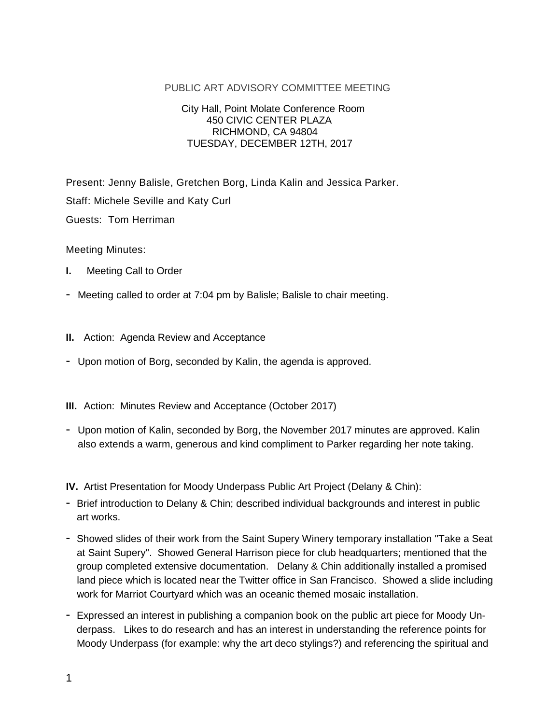## PUBLIC ART ADVISORY COMMITTEE MEETING

## City Hall, Point Molate Conference Room 450 CIVIC CENTER PLAZA RICHMOND, CA 94804 TUESDAY, DECEMBER 12TH, 2017

Present: Jenny Balisle, Gretchen Borg, Linda Kalin and Jessica Parker. Staff: Michele Seville and Katy Curl Guests: Tom Herriman

Meeting Minutes:

- **I.** Meeting Call to Order
- Meeting called to order at 7:04 pm by Balisle; Balisle to chair meeting.
- **II.** Action: Agenda Review and Acceptance
- Upon motion of Borg, seconded by Kalin, the agenda is approved.

**III.** Action: Minutes Review and Acceptance (October 2017)

- Upon motion of Kalin, seconded by Borg, the November 2017 minutes are approved. Kalin also extends a warm, generous and kind compliment to Parker regarding her note taking.

**IV.** Artist Presentation for Moody Underpass Public Art Project (Delany & Chin):

- Brief introduction to Delany & Chin; described individual backgrounds and interest in public art works.
- Showed slides of their work from the Saint Supery Winery temporary installation "Take a Seat at Saint Supery". Showed General Harrison piece for club headquarters; mentioned that the group completed extensive documentation. Delany & Chin additionally installed a promised land piece which is located near the Twitter office in San Francisco. Showed a slide including work for Marriot Courtyard which was an oceanic themed mosaic installation.
- Expressed an interest in publishing a companion book on the public art piece for Moody Underpass. Likes to do research and has an interest in understanding the reference points for Moody Underpass (for example: why the art deco stylings?) and referencing the spiritual and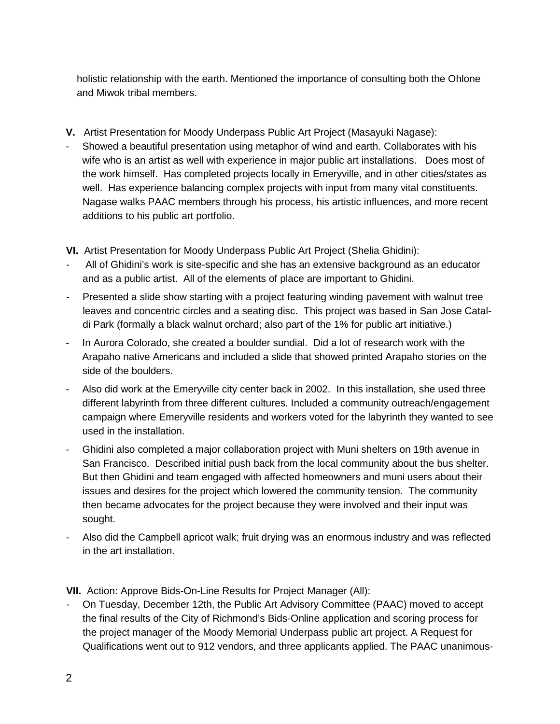holistic relationship with the earth. Mentioned the importance of consulting both the Ohlone and Miwok tribal members.

- **V.** Artist Presentation for Moody Underpass Public Art Project (Masayuki Nagase):
- Showed a beautiful presentation using metaphor of wind and earth. Collaborates with his wife who is an artist as well with experience in major public art installations. Does most of the work himself. Has completed projects locally in Emeryville, and in other cities/states as well. Has experience balancing complex projects with input from many vital constituents. Nagase walks PAAC members through his process, his artistic influences, and more recent additions to his public art portfolio.

**VI.** Artist Presentation for Moody Underpass Public Art Project (Shelia Ghidini):

- All of Ghidini's work is site-specific and she has an extensive background as an educator and as a public artist. All of the elements of place are important to Ghidini.
- Presented a slide show starting with a project featuring winding pavement with walnut tree leaves and concentric circles and a seating disc. This project was based in San Jose Cataldi Park (formally a black walnut orchard; also part of the 1% for public art initiative.)
- In Aurora Colorado, she created a boulder sundial. Did a lot of research work with the Arapaho native Americans and included a slide that showed printed Arapaho stories on the side of the boulders.
- Also did work at the Emeryville city center back in 2002. In this installation, she used three different labyrinth from three different cultures. Included a community outreach/engagement campaign where Emeryville residents and workers voted for the labyrinth they wanted to see used in the installation.
- Ghidini also completed a major collaboration project with Muni shelters on 19th avenue in San Francisco. Described initial push back from the local community about the bus shelter. But then Ghidini and team engaged with affected homeowners and muni users about their issues and desires for the project which lowered the community tension. The community then became advocates for the project because they were involved and their input was sought.
- Also did the Campbell apricot walk; fruit drying was an enormous industry and was reflected in the art installation.

**VII.** Action: Approve Bids-On-Line Results for Project Manager (All):

- On Tuesday, December 12th, the Public Art Advisory Committee (PAAC) moved to accept the final results of the City of Richmond's Bids-Online application and scoring process for the project manager of the Moody Memorial Underpass public art project. A Request for Qualifications went out to 912 vendors, and three applicants applied. The PAAC unanimous